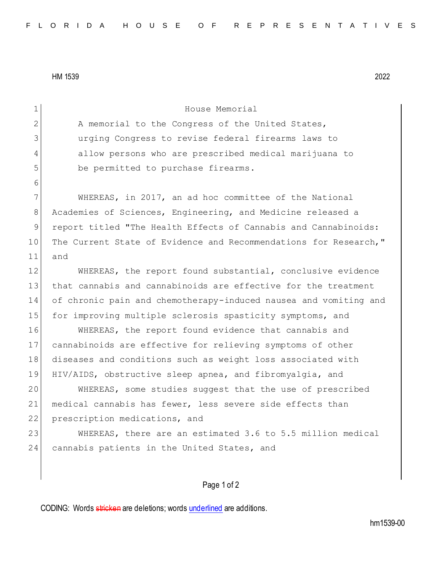HM 1539 2022

Page 1 of 2 1 House Memorial 2 A memorial to the Congress of the United States, 3 urging Congress to revise federal firearms laws to 4 allow persons who are prescribed medical marijuana to 5 be permitted to purchase firearms. 6 7 WHEREAS, in 2017, an ad hoc committee of the National 8 Academies of Sciences, Engineering, and Medicine released a 9 report titled "The Health Effects of Cannabis and Cannabinoids: 10 The Current State of Evidence and Recommendations for Research," 11 and 12 WHEREAS, the report found substantial, conclusive evidence 13 that cannabis and cannabinoids are effective for the treatment 14 of chronic pain and chemotherapy-induced nausea and vomiting and 15 for improving multiple sclerosis spasticity symptoms, and 16 WHEREAS, the report found evidence that cannabis and 17 cannabinoids are effective for relieving symptoms of other 18 diseases and conditions such as weight loss associated with 19 HIV/AIDS, obstructive sleep apnea, and fibromyalgia, and 20 WHEREAS, some studies suggest that the use of prescribed 21 medical cannabis has fewer, less severe side effects than 22 prescription medications, and 23 WHEREAS, there are an estimated 3.6 to 5.5 million medical 24 cannabis patients in the United States, and

CODING: Words stricken are deletions; words underlined are additions.